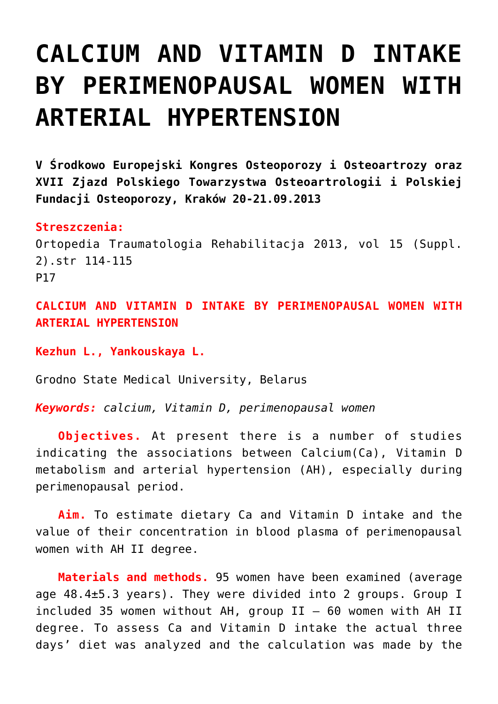## **[CALCIUM AND VITAMIN D INTAKE](https://osteoporoza.pl/calcium-and-vitamin-d-intake-by-perimenopausal-women-with-arterial-hypertension/) [BY PERIMENOPAUSAL WOMEN WITH](https://osteoporoza.pl/calcium-and-vitamin-d-intake-by-perimenopausal-women-with-arterial-hypertension/) [ARTERIAL HYPERTENSION](https://osteoporoza.pl/calcium-and-vitamin-d-intake-by-perimenopausal-women-with-arterial-hypertension/)**

**V Środkowo Europejski Kongres Osteoporozy i Osteoartrozy oraz XVII Zjazd Polskiego Towarzystwa Osteoartrologii i Polskiej Fundacji Osteoporozy, Kraków 20-21.09.2013**

**Streszczenia:**

Ortopedia Traumatologia Rehabilitacja 2013, vol 15 (Suppl. 2).str 114-115 P17

**CALCIUM AND VITAMIN D INTAKE BY PERIMENOPAUSAL WOMEN WITH ARTERIAL HYPERTENSION**

**Kezhun L., Yankouskaya L.**

Grodno State Medical University, Belarus

*Keywords: calcium, Vitamin D, perimenopausal women*

**Objectives.** At present there is a number of studies indicating the associations between Calcium(Ca), Vitamin D metabolism and arterial hypertension (AH), especially during perimenopausal period.

**Aim.** To estimate dietary Ca and Vitamin D intake and the value of their concentration in blood plasma of perimenopausal women with AH II degree.

**Materials and methods.** 95 women have been examined (average age 48.4±5.3 years). They were divided into 2 groups. Group I included 35 women without AH, group  $II - 60$  women with AH II degree. To assess Ca and Vitamin D intake the actual three days' diet was analyzed and the calculation was made by the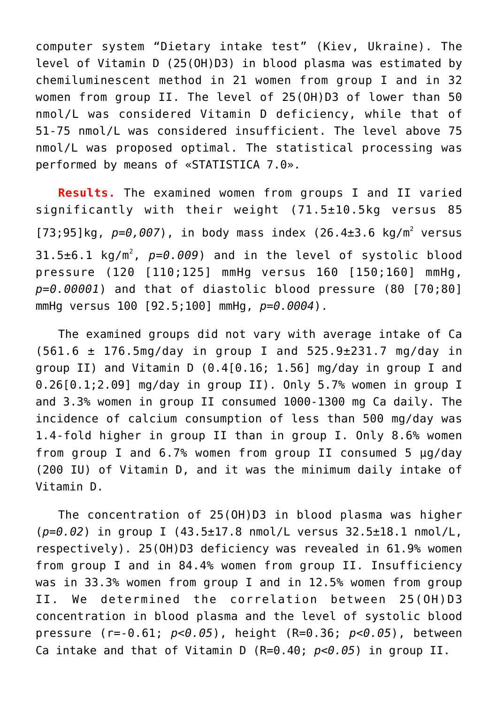computer system "Dietary intake test" (Kiev, Ukraine). The level of Vitamin D (25(OH)D3) in blood plasma was estimated by chemiluminescent method in 21 women from group I and in 32 women from group II. The level of 25(OH)D3 of lower than 50 nmol/L was considered Vitamin D deficiency, while that of 51-75 nmol/L was considered insufficient. The level above 75 nmol/L was proposed optimal. The statistical processing was performed by means of «STATISTICA 7.0».

**Results.** The examined women from groups I and II varied significantly with their weight (71.5±10.5kg versus 85  $[73; 95]$ kg,  $p=0.007$ ), in body mass index  $(26.4\pm3.6 \text{ kg/m}^2 \text{ versus}$ 31.5±6.1 kg/m<sup>2</sup>, p=0.009) and in the level of systolic blood pressure (120 [110;125] mmHg versus 160 [150;160] mmHg, *p=0.00001*) and that of diastolic blood pressure (80 [70;80] mmHg versus 100 [92.5;100] mmHg, *p=0.0004*).

The examined groups did not vary with average intake of Ca  $(561.6 \pm 176.5$ mg/day in group I and  $525.9 \pm 231.7$  mg/day in group II) and Vitamin D (0.4[0.16; 1.56] mg/day in group I and 0.26[0.1;2.09] mg/day in group II). Only 5.7% women in group I and 3.3% women in group II consumed 1000-1300 mg Ca daily. The incidence of calcium consumption of less than 500 mg/day was 1.4-fold higher in group II than in group I. Only 8.6% women from group I and 6.7% women from group II consumed 5 µg/day (200 IU) of Vitamin D, and it was the minimum daily intake of Vitamin D.

The concentration of 25(OH)D3 in blood plasma was higher (*p=0.02*) in group I (43.5±17.8 nmol/L versus 32.5±18.1 nmol/L, respectively). 25(OH)D3 deficiency was revealed in 61.9% women from group I and in 84.4% women from group II. Insufficiency was in 33.3% women from group I and in 12.5% women from group II. We determined the correlation between 25(OH)D3 concentration in blood plasma and the level of systolic blood pressure (r=-0.61; *p<0.05*), height (R=0.36; *p<0.05*), between Ca intake and that of Vitamin D (R=0.40; *p<0.05*) in group II.